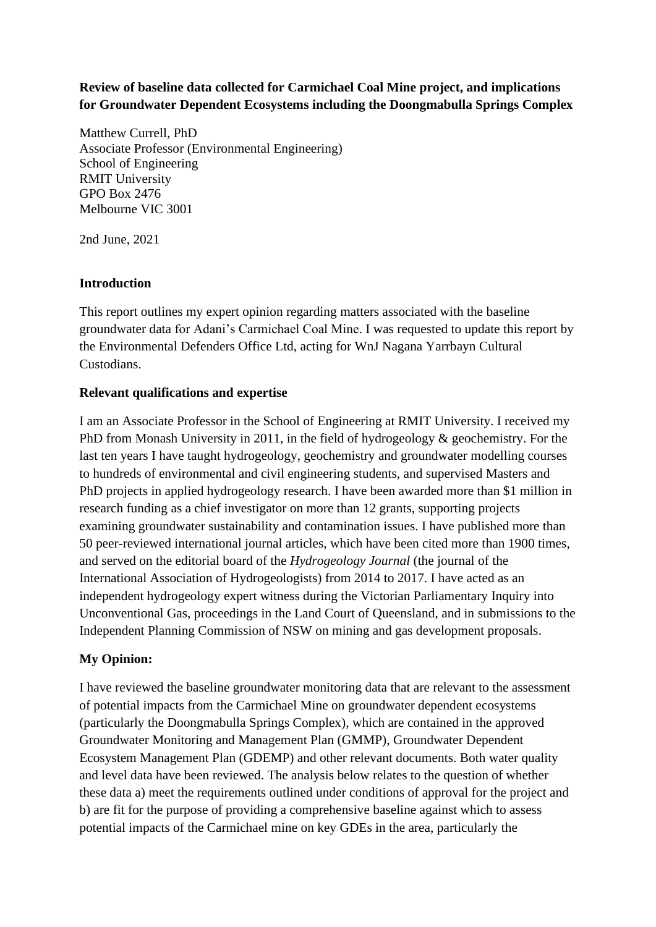# **Review of baseline data collected for Carmichael Coal Mine project, and implications for Groundwater Dependent Ecosystems including the Doongmabulla Springs Complex**

Matthew Currell, PhD Associate Professor (Environmental Engineering) School of Engineering RMIT University GPO Box 2476 Melbourne VIC 3001

2nd June, 2021

# **Introduction**

This report outlines my expert opinion regarding matters associated with the baseline groundwater data for Adani's Carmichael Coal Mine. I was requested to update this report by the Environmental Defenders Office Ltd, acting for WnJ Nagana Yarrbayn Cultural Custodians.

### **Relevant qualifications and expertise**

I am an Associate Professor in the School of Engineering at RMIT University. I received my PhD from Monash University in 2011, in the field of hydrogeology & geochemistry. For the last ten years I have taught hydrogeology, geochemistry and groundwater modelling courses to hundreds of environmental and civil engineering students, and supervised Masters and PhD projects in applied hydrogeology research. I have been awarded more than \$1 million in research funding as a chief investigator on more than 12 grants, supporting projects examining groundwater sustainability and contamination issues. I have published more than 50 peer-reviewed international journal articles, which have been cited more than 1900 times, and served on the editorial board of the *Hydrogeology Journal* (the journal of the International Association of Hydrogeologists) from 2014 to 2017. I have acted as an independent hydrogeology expert witness during the Victorian Parliamentary Inquiry into Unconventional Gas, proceedings in the Land Court of Queensland, and in submissions to the Independent Planning Commission of NSW on mining and gas development proposals.

# **My Opinion:**

I have reviewed the baseline groundwater monitoring data that are relevant to the assessment of potential impacts from the Carmichael Mine on groundwater dependent ecosystems (particularly the Doongmabulla Springs Complex), which are contained in the approved Groundwater Monitoring and Management Plan (GMMP), Groundwater Dependent Ecosystem Management Plan (GDEMP) and other relevant documents. Both water quality and level data have been reviewed. The analysis below relates to the question of whether these data a) meet the requirements outlined under conditions of approval for the project and b) are fit for the purpose of providing a comprehensive baseline against which to assess potential impacts of the Carmichael mine on key GDEs in the area, particularly the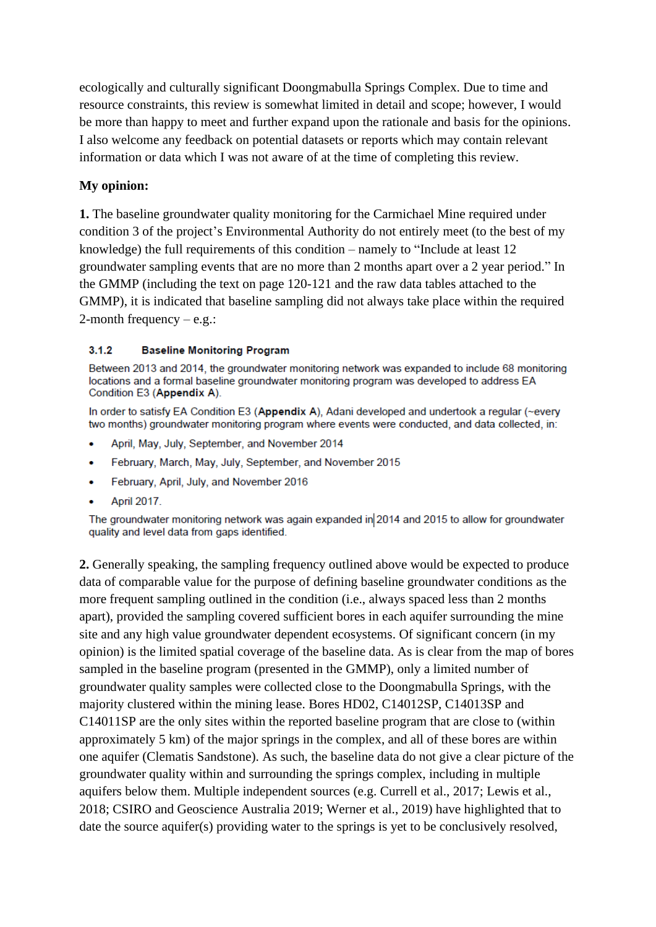ecologically and culturally significant Doongmabulla Springs Complex. Due to time and resource constraints, this review is somewhat limited in detail and scope; however, I would be more than happy to meet and further expand upon the rationale and basis for the opinions. I also welcome any feedback on potential datasets or reports which may contain relevant information or data which I was not aware of at the time of completing this review.

# **My opinion:**

**1.** The baseline groundwater quality monitoring for the Carmichael Mine required under condition 3 of the project's Environmental Authority do not entirely meet (to the best of my knowledge) the full requirements of this condition – namely to "Include at least 12 groundwater sampling events that are no more than 2 months apart over a 2 year period." In the GMMP (including the text on page 120-121 and the raw data tables attached to the GMMP), it is indicated that baseline sampling did not always take place within the required 2-month frequency – e.g.:

#### $3.1.2$ **Baseline Monitoring Program**

Between 2013 and 2014, the groundwater monitoring network was expanded to include 68 monitoring locations and a formal baseline groundwater monitoring program was developed to address EA Condition E3 (Appendix A).

In order to satisfy EA Condition E3 (Appendix A), Adani developed and undertook a regular (~every two months) groundwater monitoring program where events were conducted, and data collected, in:

- April, May, July, September, and November 2014  $\bullet$
- February, March, May, July, September, and November 2015  $\bullet$
- February, April, July, and November 2016
- **April 2017.**

The groundwater monitoring network was again expanded in 2014 and 2015 to allow for groundwater quality and level data from gaps identified.

**2.** Generally speaking, the sampling frequency outlined above would be expected to produce data of comparable value for the purpose of defining baseline groundwater conditions as the more frequent sampling outlined in the condition (i.e., always spaced less than 2 months apart), provided the sampling covered sufficient bores in each aquifer surrounding the mine site and any high value groundwater dependent ecosystems. Of significant concern (in my opinion) is the limited spatial coverage of the baseline data. As is clear from the map of bores sampled in the baseline program (presented in the GMMP), only a limited number of groundwater quality samples were collected close to the Doongmabulla Springs, with the majority clustered within the mining lease. Bores HD02, C14012SP, C14013SP and C14011SP are the only sites within the reported baseline program that are close to (within approximately 5 km) of the major springs in the complex, and all of these bores are within one aquifer (Clematis Sandstone). As such, the baseline data do not give a clear picture of the groundwater quality within and surrounding the springs complex, including in multiple aquifers below them. Multiple independent sources (e.g. Currell et al., 2017; Lewis et al., 2018; CSIRO and Geoscience Australia 2019; Werner et al., 2019) have highlighted that to date the source aquifer(s) providing water to the springs is yet to be conclusively resolved,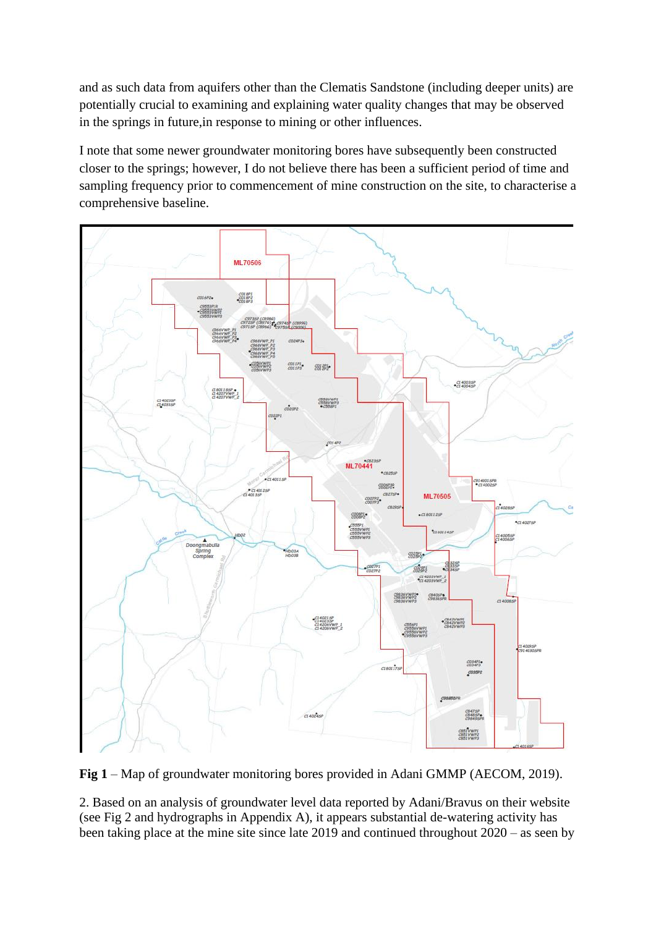and as such data from aquifers other than the Clematis Sandstone (including deeper units) are potentially crucial to examining and explaining water quality changes that may be observed in the springs in future,in response to mining or other influences.

I note that some newer groundwater monitoring bores have subsequently been constructed closer to the springs; however, I do not believe there has been a sufficient period of time and sampling frequency prior to commencement of mine construction on the site, to characterise a comprehensive baseline.



**Fig 1** – Map of groundwater monitoring bores provided in Adani GMMP (AECOM, 2019).

2. Based on an analysis of groundwater level data reported by Adani/Bravus on their website (see Fig 2 and hydrographs in Appendix A), it appears substantial de-watering activity has been taking place at the mine site since late 2019 and continued throughout 2020 – as seen by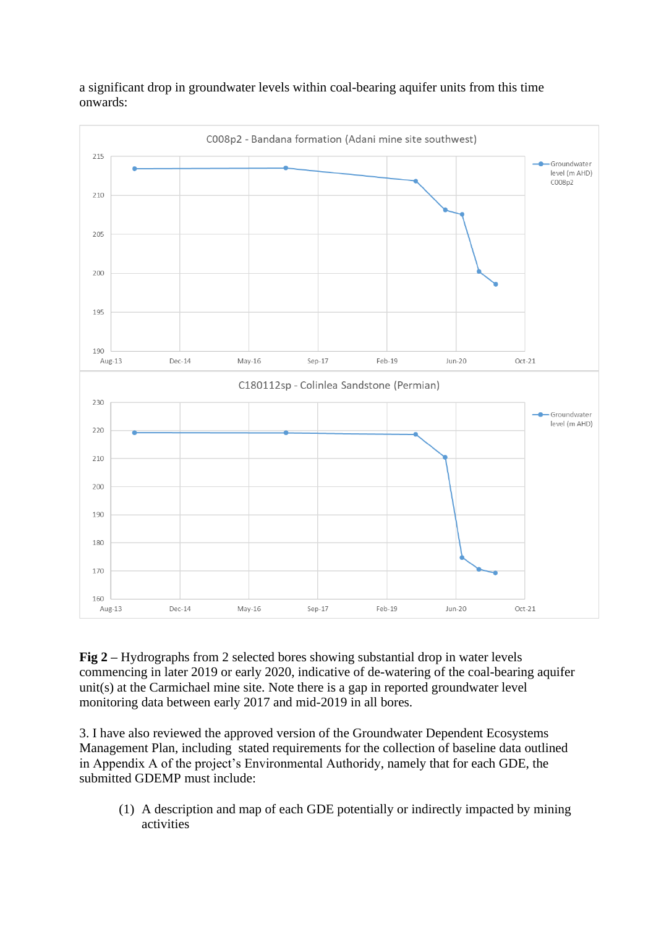### a significant drop in groundwater levels within coal-bearing aquifer units from this time onwards:



**Fig 2 –** Hydrographs from 2 selected bores showing substantial drop in water levels commencing in later 2019 or early 2020, indicative of de-watering of the coal-bearing aquifer unit(s) at the Carmichael mine site. Note there is a gap in reported groundwater level monitoring data between early 2017 and mid-2019 in all bores.

3. I have also reviewed the approved version of the Groundwater Dependent Ecosystems Management Plan, including stated requirements for the collection of baseline data outlined in Appendix A of the project's Environmental Authoridy, namely that for each GDE, the submitted GDEMP must include:

(1) A description and map of each GDE potentially or indirectly impacted by mining activities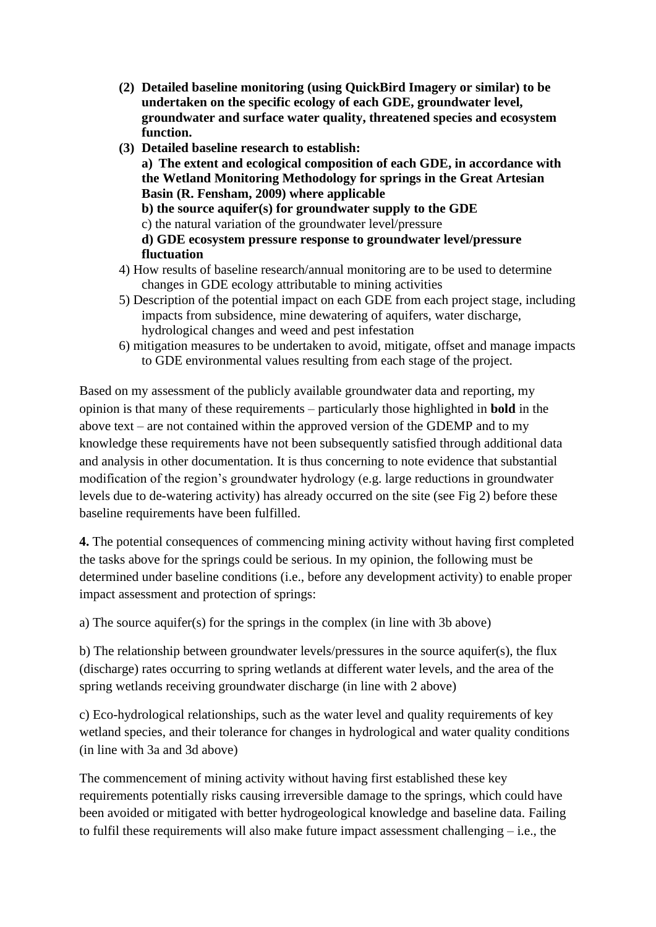- **(2) Detailed baseline monitoring (using QuickBird Imagery or similar) to be undertaken on the specific ecology of each GDE, groundwater level, groundwater and surface water quality, threatened species and ecosystem function.**
- **(3) Detailed baseline research to establish: a) The extent and ecological composition of each GDE, in accordance with the Wetland Monitoring Methodology for springs in the Great Artesian Basin (R. Fensham, 2009) where applicable b) the source aquifer(s) for groundwater supply to the GDE** c) the natural variation of the groundwater level/pressure **d) GDE ecosystem pressure response to groundwater level/pressure fluctuation**
- 4) How results of baseline research/annual monitoring are to be used to determine changes in GDE ecology attributable to mining activities
- 5) Description of the potential impact on each GDE from each project stage, including impacts from subsidence, mine dewatering of aquifers, water discharge, hydrological changes and weed and pest infestation
- 6) mitigation measures to be undertaken to avoid, mitigate, offset and manage impacts to GDE environmental values resulting from each stage of the project*.*

Based on my assessment of the publicly available groundwater data and reporting, my opinion is that many of these requirements – particularly those highlighted in **bold** in the above text – are not contained within the approved version of the GDEMP and to my knowledge these requirements have not been subsequently satisfied through additional data and analysis in other documentation. It is thus concerning to note evidence that substantial modification of the region's groundwater hydrology (e.g. large reductions in groundwater levels due to de-watering activity) has already occurred on the site (see Fig 2) before these baseline requirements have been fulfilled.

**4.** The potential consequences of commencing mining activity without having first completed the tasks above for the springs could be serious. In my opinion, the following must be determined under baseline conditions (i.e., before any development activity) to enable proper impact assessment and protection of springs:

a) The source aquifer(s) for the springs in the complex (in line with 3b above)

b) The relationship between groundwater levels/pressures in the source aquifer(s), the flux (discharge) rates occurring to spring wetlands at different water levels, and the area of the spring wetlands receiving groundwater discharge (in line with 2 above)

c) Eco-hydrological relationships, such as the water level and quality requirements of key wetland species, and their tolerance for changes in hydrological and water quality conditions (in line with 3a and 3d above)

The commencement of mining activity without having first established these key requirements potentially risks causing irreversible damage to the springs, which could have been avoided or mitigated with better hydrogeological knowledge and baseline data. Failing to fulfil these requirements will also make future impact assessment challenging – i.e., the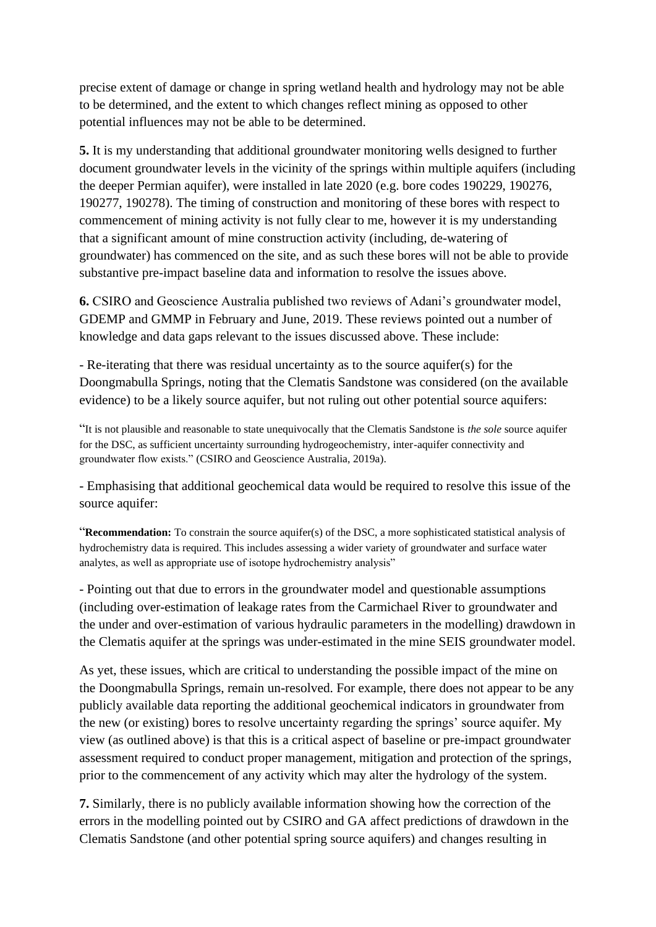precise extent of damage or change in spring wetland health and hydrology may not be able to be determined, and the extent to which changes reflect mining as opposed to other potential influences may not be able to be determined.

**5.** It is my understanding that additional groundwater monitoring wells designed to further document groundwater levels in the vicinity of the springs within multiple aquifers (including the deeper Permian aquifer), were installed in late 2020 (e.g. bore codes 190229, 190276, 190277, 190278). The timing of construction and monitoring of these bores with respect to commencement of mining activity is not fully clear to me, however it is my understanding that a significant amount of mine construction activity (including, de-watering of groundwater) has commenced on the site, and as such these bores will not be able to provide substantive pre-impact baseline data and information to resolve the issues above.

**6.** CSIRO and Geoscience Australia published two reviews of Adani's groundwater model, GDEMP and GMMP in February and June, 2019. These reviews pointed out a number of knowledge and data gaps relevant to the issues discussed above. These include:

- Re-iterating that there was residual uncertainty as to the source aquifer(s) for the Doongmabulla Springs, noting that the Clematis Sandstone was considered (on the available evidence) to be a likely source aquifer, but not ruling out other potential source aquifers:

"It is not plausible and reasonable to state unequivocally that the Clematis Sandstone is *the sole* source aquifer for the DSC, as sufficient uncertainty surrounding hydrogeochemistry, inter-aquifer connectivity and groundwater flow exists." (CSIRO and Geoscience Australia, 2019a).

- Emphasising that additional geochemical data would be required to resolve this issue of the source aquifer:

"**Recommendation:** To constrain the source aquifer(s) of the DSC, a more sophisticated statistical analysis of hydrochemistry data is required. This includes assessing a wider variety of groundwater and surface water analytes, as well as appropriate use of isotope hydrochemistry analysis"

- Pointing out that due to errors in the groundwater model and questionable assumptions (including over-estimation of leakage rates from the Carmichael River to groundwater and the under and over-estimation of various hydraulic parameters in the modelling) drawdown in the Clematis aquifer at the springs was under-estimated in the mine SEIS groundwater model.

As yet, these issues, which are critical to understanding the possible impact of the mine on the Doongmabulla Springs, remain un-resolved. For example, there does not appear to be any publicly available data reporting the additional geochemical indicators in groundwater from the new (or existing) bores to resolve uncertainty regarding the springs' source aquifer. My view (as outlined above) is that this is a critical aspect of baseline or pre-impact groundwater assessment required to conduct proper management, mitigation and protection of the springs, prior to the commencement of any activity which may alter the hydrology of the system.

**7.** Similarly, there is no publicly available information showing how the correction of the errors in the modelling pointed out by CSIRO and GA affect predictions of drawdown in the Clematis Sandstone (and other potential spring source aquifers) and changes resulting in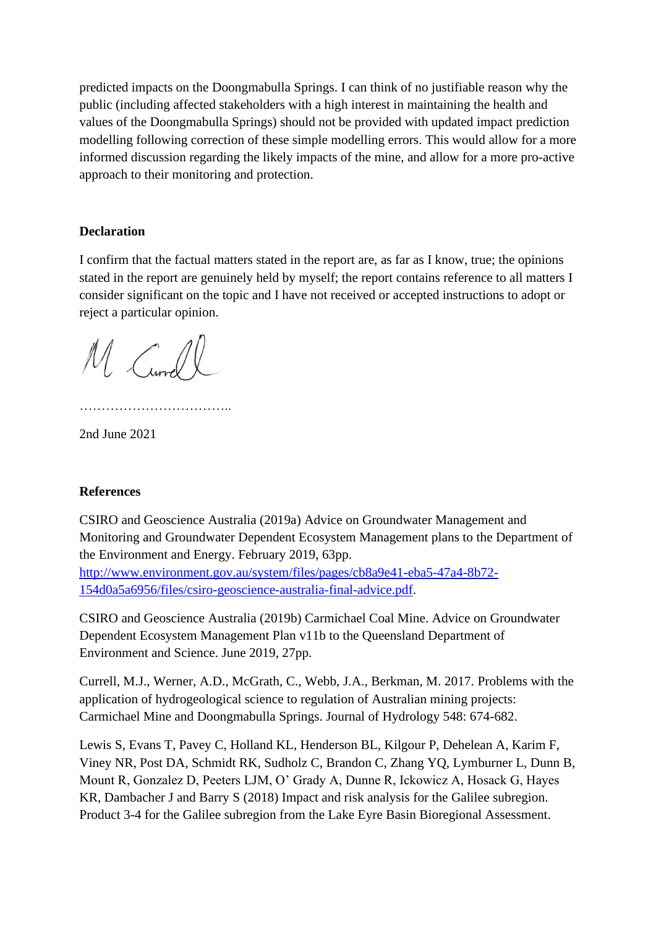predicted impacts on the Doongmabulla Springs. I can think of no justifiable reason why the public (including affected stakeholders with a high interest in maintaining the health and values of the Doongmabulla Springs) should not be provided with updated impact prediction modelling following correction of these simple modelling errors. This would allow for a more informed discussion regarding the likely impacts of the mine, and allow for a more pro-active approach to their monitoring and protection.

#### **Declaration**

I confirm that the factual matters stated in the report are, as far as I know, true; the opinions stated in the report are genuinely held by myself; the report contains reference to all matters I consider significant on the topic and I have not received or accepted instructions to adopt or reject a particular opinion.

M Currell

……………………………………………

2nd June 2021

#### **References**

CSIRO and Geoscience Australia (2019a) Advice on Groundwater Management and Monitoring and Groundwater Dependent Ecosystem Management plans to the Department of the Environment and Energy. February 2019, 63pp.

[http://www.environment.gov.au/system/files/pages/cb8a9e41-eba5-47a4-8b72-](http://www.environment.gov.au/system/files/pages/cb8a9e41-eba5-47a4-8b72-%20154d0a5a6956/files/csiro-geoscience-australia-final-advice.pdf) [154d0a5a6956/files/csiro-geoscience-australia-final-advice.pdf.](http://www.environment.gov.au/system/files/pages/cb8a9e41-eba5-47a4-8b72-%20154d0a5a6956/files/csiro-geoscience-australia-final-advice.pdf)

CSIRO and Geoscience Australia (2019b) Carmichael Coal Mine. Advice on Groundwater Dependent Ecosystem Management Plan v11b to the Queensland Department of Environment and Science. June 2019, 27pp.

Currell, M.J., Werner, A.D., McGrath, C., Webb, J.A., Berkman, M. 2017. Problems with the application of hydrogeological science to regulation of Australian mining projects: Carmichael Mine and Doongmabulla Springs. Journal of Hydrology 548: 674-682.

Lewis S, Evans T, Pavey C, Holland KL, Henderson BL, Kilgour P, Dehelean A, Karim F, Viney NR, Post DA, Schmidt RK, Sudholz C, Brandon C, Zhang YQ, Lymburner L, Dunn B, Mount R, Gonzalez D, Peeters LJM, O' Grady A, Dunne R, Ickowicz A, Hosack G, Hayes KR, Dambacher J and Barry S (2018) Impact and risk analysis for the Galilee subregion. Product 3-4 for the Galilee subregion from the Lake Eyre Basin Bioregional Assessment.